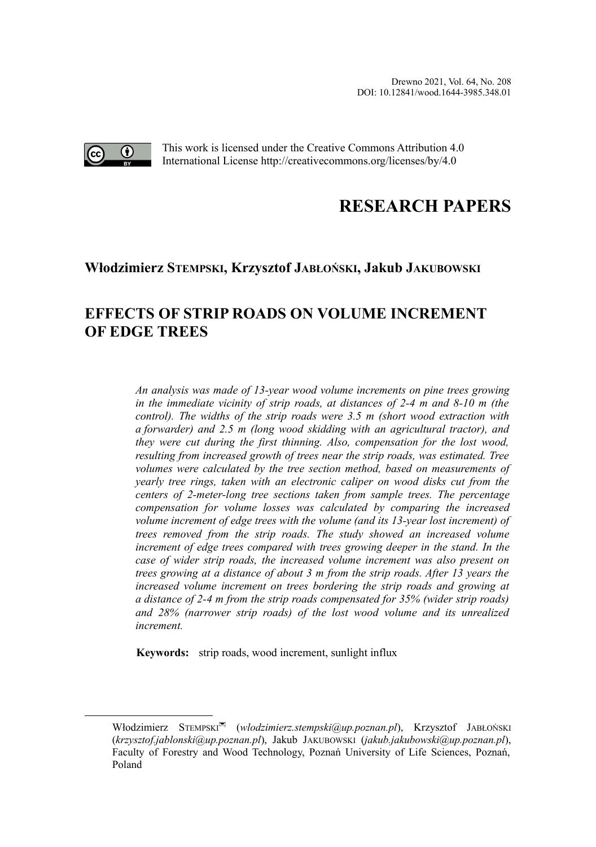

This work is licensed under the Creative Commons Attribution 4.0 International License http://creativecommons.org/licenses/by/4.0

# **RESEARCH PAPERS**

### **Włodzimierz STEMPSKI, Krzysztof JABŁOŃSKI, Jakub JAKUBOWSK[I](#page-0-0)**

## **EFFECTS OF STRIP ROADS ON VOLUME INCREMENT OF EDGE TREES**

*An analysis was made of 13-year wood volume increments on pine trees growing in the immediate vicinity of strip roads, at distances of 2-4 m and 8-10 m (the control). The widths of the strip roads were 3.5 m (short wood extraction with a forwarder) and 2.5 m (long wood skidding with an agricultural tractor), and they were cut during the first thinning. Also, compensation for the lost wood, resulting from increased growth of trees near the strip roads, was estimated. Tree volumes were calculated by the tree section method, based on measurements of yearly tree rings, taken with an electronic caliper on wood disks cut from the centers of 2-meter-long tree sections taken from sample trees. The percentage compensation for volume losses was calculated by comparing the increased volume increment of edge trees with the volume (and its 13-year lost increment) of trees removed from the strip roads. The study showed an increased volume increment of edge trees compared with trees growing deeper in the stand. In the case of wider strip roads, the increased volume increment was also present on trees growing at a distance of about 3 m from the strip roads. After 13 years the increased volume increment on trees bordering the strip roads and growing at a distance of 2-4 m from the strip roads compensated for 35% (wider strip roads) and 28% (narrower strip roads) of the lost wood volume and its unrealized increment.*

**Keywords:** strip roads, wood increment, sunlight influx

<span id="page-0-0"></span>Włodzimierz STEMPSKI (*wlodzimierz.stempski@up.poznan.pl*), Krzysztof JABŁOŃSKI (*krzysztof.jablonski@up.poznan.pl*), Jakub JAKUBOWSKI (*jakub.jakubowski@up.poznan.pl*), Faculty of Forestry and Wood Technology, Poznań University of Life Sciences, Poznań, Poland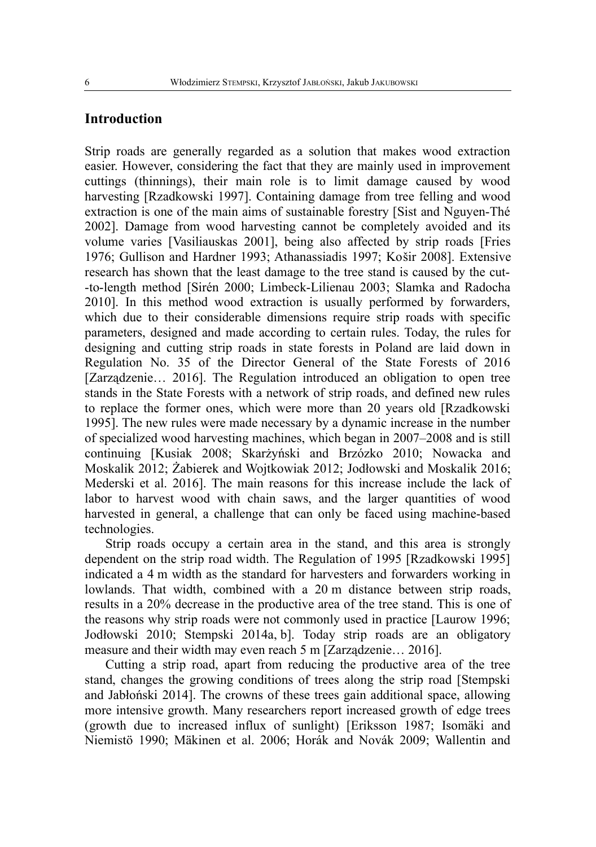#### **Introduction**

Strip roads are generally regarded as a solution that makes wood extraction easier. However, considering the fact that they are mainly used in improvement cuttings (thinnings), their main role is to limit damage caused by wood harvesting [Rzadkowski 1997]. Containing damage from tree felling and wood extraction is one of the main aims of sustainable forestry [Sist and Nguyen-Thé 2002]. Damage from wood harvesting cannot be completely avoided and its volume varies [Vasiliauskas 2001], being also affected by strip roads [Fries 1976; Gullison and Hardner 1993; Athanassiadis 1997; Košir 2008]. Extensive research has shown that the least damage to the tree stand is caused by the cut- -to-length method [Sirén 2000; Limbeck-Lilienau 2003; Slamka and Radocha 2010]. In this method wood extraction is usually performed by forwarders, which due to their considerable dimensions require strip roads with specific parameters, designed and made according to certain rules. Today, the rules for designing and cutting strip roads in state forests in Poland are laid down in Regulation No. 35 of the Director General of the State Forests of 2016 [Zarządzenie… 2016]. The Regulation introduced an obligation to open tree stands in the State Forests with a network of strip roads, and defined new rules to replace the former ones, which were more than 20 years old [Rzadkowski 1995]. The new rules were made necessary by a dynamic increase in the number of specialized wood harvesting machines, which began in 2007–2008 and is still continuing [Kusiak 2008; Skarżyński and Brzózko 2010; Nowacka and Moskalik 2012; Żabierek and Wojtkowiak 2012; Jodłowski and Moskalik 2016; Mederski et al. 2016]. The main reasons for this increase include the lack of labor to harvest wood with chain saws, and the larger quantities of wood harvested in general, a challenge that can only be faced using machine-based technologies.

Strip roads occupy a certain area in the stand, and this area is strongly dependent on the strip road width. The Regulation of 1995 [Rzadkowski 1995] indicated a 4 m width as the standard for harvesters and forwarders working in lowlands. That width, combined with a 20 m distance between strip roads, results in a 20% decrease in the productive area of the tree stand. This is one of the reasons why strip roads were not commonly used in practice [Laurow 1996; Jodłowski 2010; Stempski 2014a, b]. Today strip roads are an obligatory measure and their width may even reach 5 m [Zarządzenie… 2016].

Cutting a strip road, apart from reducing the productive area of the tree stand, changes the growing conditions of trees along the strip road [Stempski and Jabłoński 2014]. The crowns of these trees gain additional space, allowing more intensive growth. Many researchers report increased growth of edge trees (growth due to increased influx of sunlight) [Eriksson 1987; Isomäki and Niemistö 1990; Mäkinen et al. 2006; Horák and Novák 2009; Wallentin and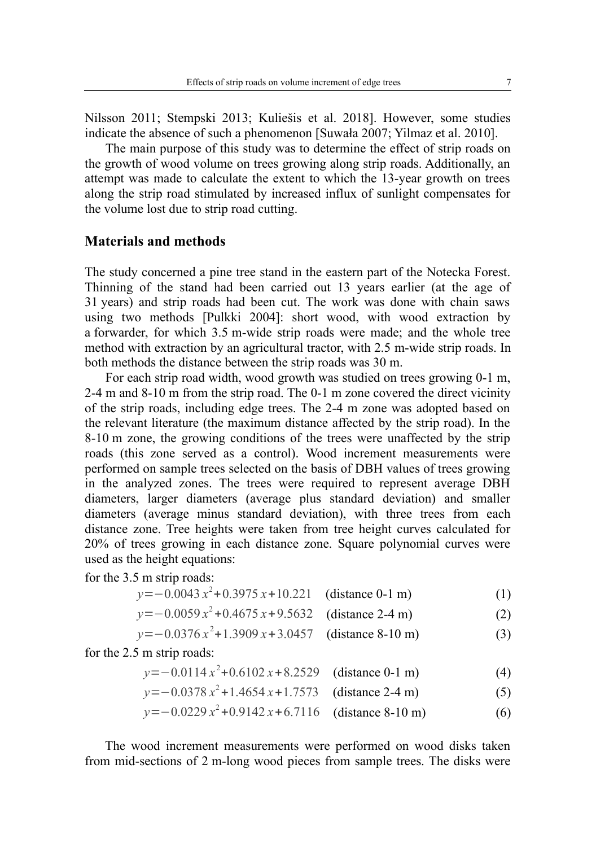Nilsson 2011; Stempski 2013; Kuliešis et al. 2018]. However, some studies indicate the absence of such a phenomenon [Suwała 2007; Yilmaz et al. 2010].

The main purpose of this study was to determine the effect of strip roads on the growth of wood volume on trees growing along strip roads. Additionally, an attempt was made to calculate the extent to which the 13-year growth on trees along the strip road stimulated by increased influx of sunlight compensates for the volume lost due to strip road cutting.

#### **Materials and methods**

The study concerned a pine tree stand in the eastern part of the Notecka Forest. Thinning of the stand had been carried out 13 years earlier (at the age of 31 years) and strip roads had been cut. The work was done with chain saws using two methods [Pulkki 2004]: short wood, with wood extraction by a forwarder, for which 3.5 m-wide strip roads were made; and the whole tree method with extraction by an agricultural tractor, with 2.5 m-wide strip roads. In both methods the distance between the strip roads was 30 m.

For each strip road width, wood growth was studied on trees growing 0-1 m, 2-4 m and 8-10 m from the strip road. The 0-1 m zone covered the direct vicinity of the strip roads, including edge trees. The 2-4 m zone was adopted based on the relevant literature (the maximum distance affected by the strip road). In the 8-10 m zone, the growing conditions of the trees were unaffected by the strip roads (this zone served as a control). Wood increment measurements were performed on sample trees selected on the basis of DBH values of trees growing in the analyzed zones. The trees were required to represent average DBH diameters, larger diameters (average plus standard deviation) and smaller diameters (average minus standard deviation), with three trees from each distance zone. Tree heights were taken from tree height curves calculated for 20% of trees growing in each distance zone. Square polynomial curves were used as the height equations:

for the 3.5 m strip roads:

$$
y = -0.0043 x2 + 0.3975 x + 10.221 \quad \text{(distance 0-1 m)} \tag{1}
$$

$$
y = -0.0059 x2 + 0.4675 x + 9.5632
$$
 (distance 2-4 m) (2)

*y* = −0.0376 *x*<sup>2</sup> + 1.3909 *x* + 3.0457 (distance 8-10 m) (3)

for the 2.5 m strip roads:

*y* = −0.0114 *x*<sup>2</sup> +0.6102 *x* + 8.2529 (distance 0-1 m) (4)

$$
y = -0.0378 x2 + 1.4654 x + 1.7573 \quad \text{(distance 2-4 m)} \tag{5}
$$

$$
y = -0.0229 x2 + 0.9142 x + 6.7116 \text{ (distance 8-10 m)} \tag{6}
$$

The wood increment measurements were performed on wood disks taken from mid-sections of 2 m-long wood pieces from sample trees. The disks were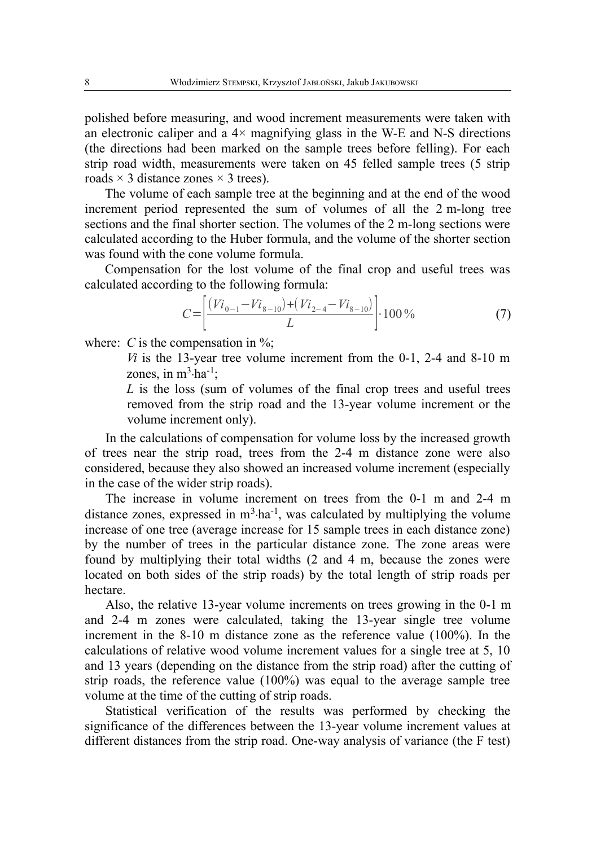polished before measuring, and wood increment measurements were taken with an electronic caliper and a  $4 \times$  magnifying glass in the W-E and N-S directions (the directions had been marked on the sample trees before felling). For each strip road width, measurements were taken on 45 felled sample trees (5 strip roads  $\times$  3 distance zones  $\times$  3 trees).

The volume of each sample tree at the beginning and at the end of the wood increment period represented the sum of volumes of all the 2 m-long tree sections and the final shorter section. The volumes of the 2 m-long sections were calculated according to the Huber formula, and the volume of the shorter section was found with the cone volume formula.

Compensation for the lost volume of the final crop and useful trees was calculated according to the following formula:

$$
C = \left[ \frac{(Vi_{0-1} - Vi_{8-10}) + (Vi_{2-4} - Vi_{8-10})}{L} \right] \cdot 100\,\%
$$
\n<sup>(7)</sup>

where: *C* is the compensation in  $\%$ ;

*Vi* is the 13-year tree volume increment from the 0-1, 2-4 and 8-10 m zones, in  $m^3$ ·ha<sup>-1</sup>;

*L* is the loss (sum of volumes of the final crop trees and useful trees removed from the strip road and the 13-year volume increment or the volume increment only).

In the calculations of compensation for volume loss by the increased growth of trees near the strip road, trees from the 2-4 m distance zone were also considered, because they also showed an increased volume increment (especially in the case of the wider strip roads).

The increase in volume increment on trees from the 0-1 m and 2-4 m distance zones, expressed in  $m<sup>3</sup>·ha<sup>-1</sup>$ , was calculated by multiplying the volume increase of one tree (average increase for 15 sample trees in each distance zone) by the number of trees in the particular distance zone. The zone areas were found by multiplying their total widths (2 and 4 m, because the zones were located on both sides of the strip roads) by the total length of strip roads per hectare.

Also, the relative 13-year volume increments on trees growing in the 0-1 m and 2-4 m zones were calculated, taking the 13-year single tree volume increment in the 8-10 m distance zone as the reference value (100%). In the calculations of relative wood volume increment values for a single tree at 5, 10 and 13 years (depending on the distance from the strip road) after the cutting of strip roads, the reference value (100%) was equal to the average sample tree volume at the time of the cutting of strip roads.

Statistical verification of the results was performed by checking the significance of the differences between the 13-year volume increment values at different distances from the strip road. One-way analysis of variance (the F test)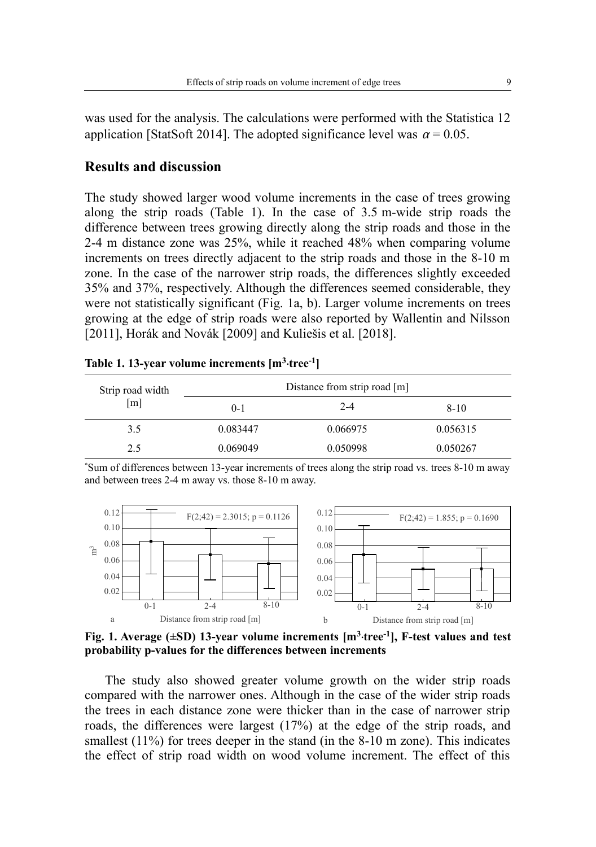was used for the analysis. The calculations were performed with the Statistica 12 application [StatSoft 2014]. The adopted significance level was  $\alpha = 0.05$ .

#### **Results and discussion**

The study showed larger wood volume increments in the case of trees growing along the strip roads (Table 1). In the case of 3.5 m-wide strip roads the difference between trees growing directly along the strip roads and those in the 2-4 m distance zone was 25%, while it reached 48% when comparing volume increments on trees directly adjacent to the strip roads and those in the 8-10 m zone. In the case of the narrower strip roads, the differences slightly exceeded 35% and 37%, respectively. Although the differences seemed considerable, they were not statistically significant (Fig. 1a, b). Larger volume increments on trees growing at the edge of strip roads were also reported by Wallentin and Nilsson [2011], Horák and Novák [2009] and Kuliešis et al. [2018].

| Strip road width<br>$\lceil m \rceil$ | Distance from strip road [m] |          |          |  |
|---------------------------------------|------------------------------|----------|----------|--|
|                                       | $0-1$                        | $2 - 4$  | $8 - 10$ |  |
| 3.5                                   | 0.083447                     | 0.066975 | 0.056315 |  |
| 2.5                                   | 0.069049                     | 0.050998 | 0.050267 |  |

|  | Table 1. 13-year volume increments [m <sup>3</sup> ·tree <sup>-1</sup> ] |  |  |
|--|--------------------------------------------------------------------------|--|--|
|--|--------------------------------------------------------------------------|--|--|

\*Sum of differences between 13-year increments of trees along the strip road vs. trees 8-10 m away and between trees 2-4 m away vs. those 8-10 m away.



**Fig. 1. Average (±SD) 13-year volume increments [m<sup>3</sup> ‧tree-1], F-test values and test probability p-values for the differences between increments**

The study also showed greater volume growth on the wider strip roads compared with the narrower ones. Although in the case of the wider strip roads the trees in each distance zone were thicker than in the case of narrower strip roads, the differences were largest (17%) at the edge of the strip roads, and smallest (11%) for trees deeper in the stand (in the 8-10 m zone). This indicates the effect of strip road width on wood volume increment. The effect of this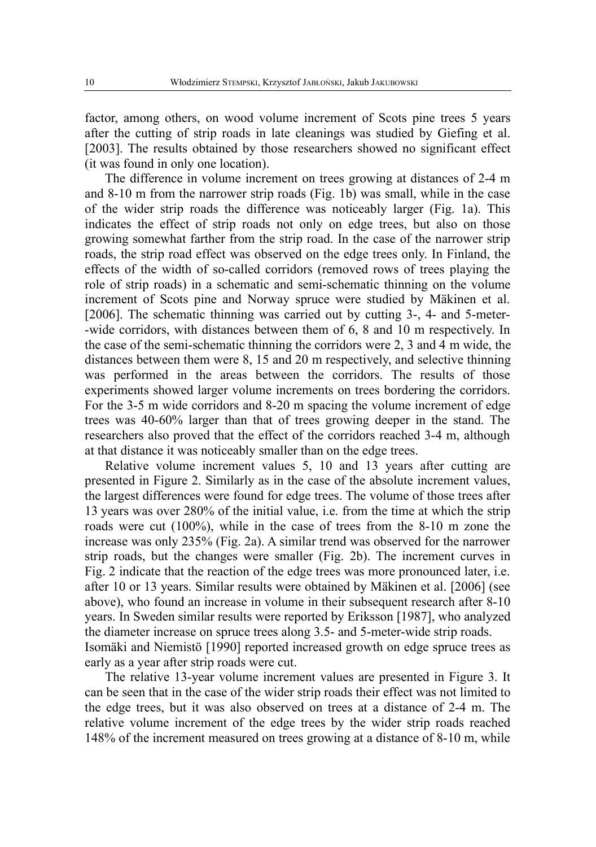factor, among others, on wood volume increment of Scots pine trees 5 years after the cutting of strip roads in late cleanings was studied by Giefing et al. [2003]. The results obtained by those researchers showed no significant effect (it was found in only one location).

The difference in volume increment on trees growing at distances of 2-4 m and 8-10 m from the narrower strip roads (Fig. 1b) was small, while in the case of the wider strip roads the difference was noticeably larger (Fig. 1a). This indicates the effect of strip roads not only on edge trees, but also on those growing somewhat farther from the strip road. In the case of the narrower strip roads, the strip road effect was observed on the edge trees only. In Finland, the effects of the width of so-called corridors (removed rows of trees playing the role of strip roads) in a schematic and semi-schematic thinning on the volume increment of Scots pine and Norway spruce were studied by Mäkinen et al. [2006]. The schematic thinning was carried out by cutting 3-, 4- and 5-meter- -wide corridors, with distances between them of 6, 8 and 10 m respectively. In the case of the semi-schematic thinning the corridors were 2, 3 and 4 m wide, the distances between them were 8, 15 and 20 m respectively, and selective thinning was performed in the areas between the corridors. The results of those experiments showed larger volume increments on trees bordering the corridors. For the 3-5 m wide corridors and 8-20 m spacing the volume increment of edge trees was 40-60% larger than that of trees growing deeper in the stand. The researchers also proved that the effect of the corridors reached 3-4 m, although at that distance it was noticeably smaller than on the edge trees.

Relative volume increment values 5, 10 and 13 years after cutting are presented in Figure 2. Similarly as in the case of the absolute increment values, the largest differences were found for edge trees. The volume of those trees after 13 years was over 280% of the initial value, i.e. from the time at which the strip roads were cut (100%), while in the case of trees from the 8-10 m zone the increase was only 235% (Fig. 2a). A similar trend was observed for the narrower strip roads, but the changes were smaller (Fig. 2b). The increment curves in Fig. 2 indicate that the reaction of the edge trees was more pronounced later, i.e. after 10 or 13 years. Similar results were obtained by Mäkinen et al. [2006] (see above), who found an increase in volume in their subsequent research after 8-10 years. In Sweden similar results were reported by Eriksson [1987], who analyzed the diameter increase on spruce trees along 3.5- and 5-meter-wide strip roads. Isomäki and Niemistö [1990] reported increased growth on edge spruce trees as early as a year after strip roads were cut.

The relative 13-year volume increment values are presented in Figure 3. It can be seen that in the case of the wider strip roads their effect was not limited to the edge trees, but it was also observed on trees at a distance of 2-4 m. The relative volume increment of the edge trees by the wider strip roads reached 148% of the increment measured on trees growing at a distance of 8-10 m, while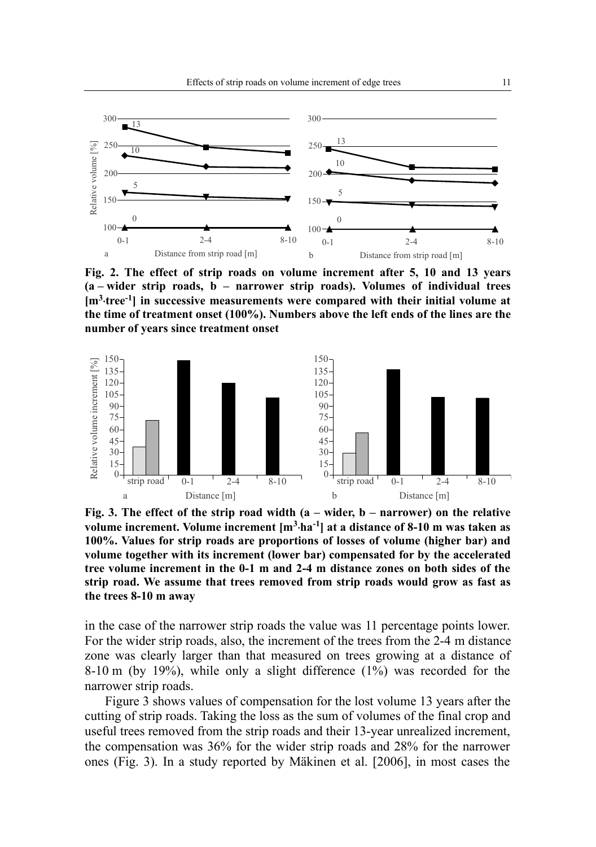

**Fig. 2. The effect of strip roads on volume increment after 5, 10 and 13 years (a – wider strip roads, b – narrower strip roads). Volumes of individual trees [m<sup>3</sup> ‧tree-1] in successive measurements were compared with their initial volume at the time of treatment onset (100%). Numbers above the left ends of the lines are the number of years since treatment onset**



**Fig. 3. The effect of the strip road width (a – wider, b – narrower) on the relative volume increment. Volume increment [m<sup>3</sup> ‧ha-1] at a distance of 8-10 m was taken as 100%. Values for strip roads are proportions of losses of volume (higher bar) and volume together with its increment (lower bar) compensated for by the accelerated tree volume increment in the 0-1 m and 2-4 m distance zones on both sides of the strip road. We assume that trees removed from strip roads would grow as fast as the trees 8-10 m away**

in the case of the narrower strip roads the value was 11 percentage points lower. For the wider strip roads, also, the increment of the trees from the 2-4 m distance zone was clearly larger than that measured on trees growing at a distance of 8-10 m (by 19%), while only a slight difference (1%) was recorded for the narrower strip roads.

Figure 3 shows values of compensation for the lost volume 13 years after the cutting of strip roads. Taking the loss as the sum of volumes of the final crop and useful trees removed from the strip roads and their 13-year unrealized increment, the compensation was 36% for the wider strip roads and 28% for the narrower ones (Fig. 3). In a study reported by Mäkinen et al. [2006], in most cases the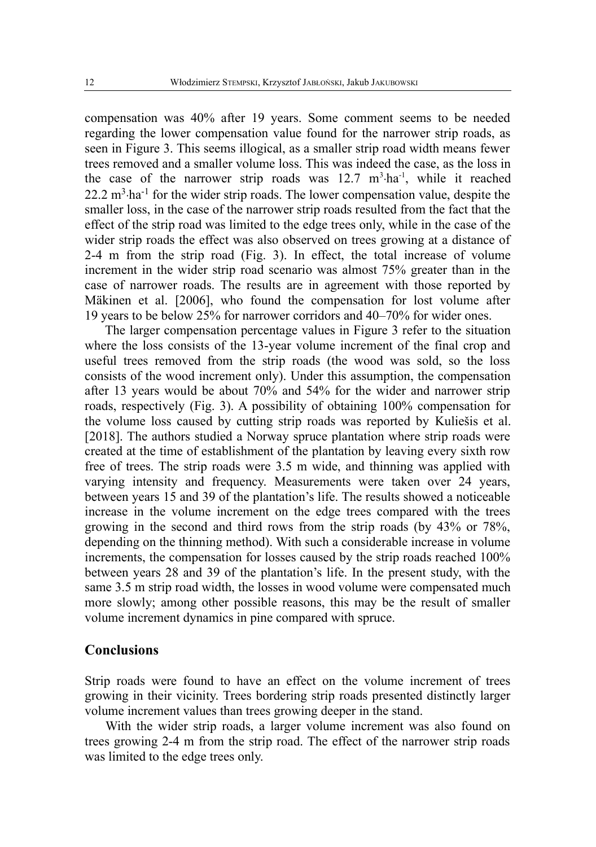compensation was 40% after 19 years. Some comment seems to be needed regarding the lower compensation value found for the narrower strip roads, as seen in Figure 3. This seems illogical, as a smaller strip road width means fewer trees removed and a smaller volume loss. This was indeed the case, as the loss in the case of the narrower strip roads was  $12.7 \text{ m}^3 \cdot \text{ha}^{-1}$ , while it reached 22.2 m<sup>3</sup>·ha<sup>-1</sup> for the wider strip roads. The lower compensation value, despite the smaller loss, in the case of the narrower strip roads resulted from the fact that the effect of the strip road was limited to the edge trees only, while in the case of the wider strip roads the effect was also observed on trees growing at a distance of 2-4 m from the strip road (Fig. 3). In effect, the total increase of volume increment in the wider strip road scenario was almost 75% greater than in the case of narrower roads. The results are in agreement with those reported by Mäkinen et al. [2006], who found the compensation for lost volume after 19 years to be below 25% for narrower corridors and 40–70% for wider ones.

The larger compensation percentage values in Figure 3 refer to the situation where the loss consists of the 13-year volume increment of the final crop and useful trees removed from the strip roads (the wood was sold, so the loss consists of the wood increment only). Under this assumption, the compensation after 13 years would be about 70% and 54% for the wider and narrower strip roads, respectively (Fig. 3). A possibility of obtaining 100% compensation for the volume loss caused by cutting strip roads was reported by Kuliešis et al. [2018]. The authors studied a Norway spruce plantation where strip roads were created at the time of establishment of the plantation by leaving every sixth row free of trees. The strip roads were 3.5 m wide, and thinning was applied with varying intensity and frequency. Measurements were taken over 24 years, between years 15 and 39 of the plantation's life. The results showed a noticeable increase in the volume increment on the edge trees compared with the trees growing in the second and third rows from the strip roads (by 43% or 78%, depending on the thinning method). With such a considerable increase in volume increments, the compensation for losses caused by the strip roads reached 100% between years 28 and 39 of the plantation's life. In the present study, with the same 3.5 m strip road width, the losses in wood volume were compensated much more slowly; among other possible reasons, this may be the result of smaller volume increment dynamics in pine compared with spruce.

#### **Conclusions**

Strip roads were found to have an effect on the volume increment of trees growing in their vicinity. Trees bordering strip roads presented distinctly larger volume increment values than trees growing deeper in the stand.

With the wider strip roads, a larger volume increment was also found on trees growing 2-4 m from the strip road. The effect of the narrower strip roads was limited to the edge trees only.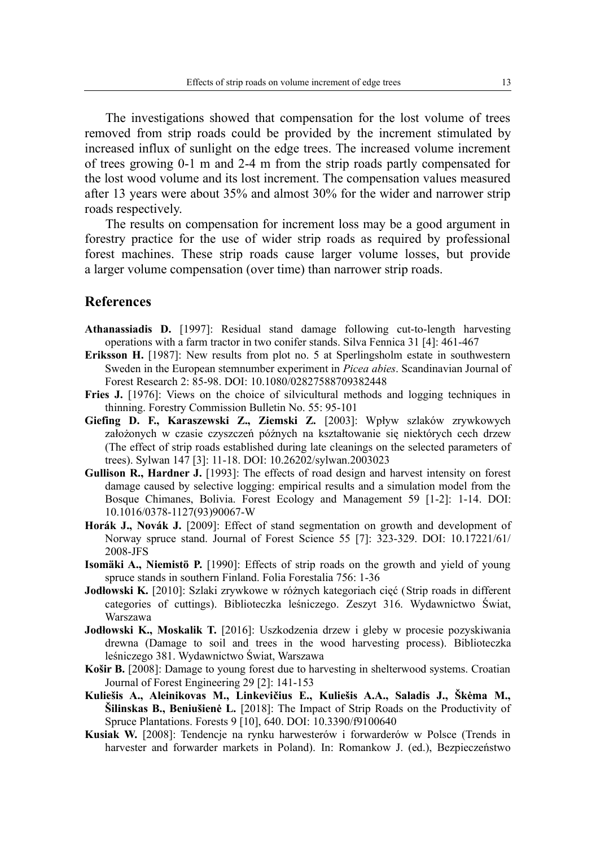The investigations showed that compensation for the lost volume of trees removed from strip roads could be provided by the increment stimulated by increased influx of sunlight on the edge trees. The increased volume increment of trees growing 0-1 m and 2-4 m from the strip roads partly compensated for the lost wood volume and its lost increment. The compensation values measured after 13 years were about 35% and almost 30% for the wider and narrower strip roads respectively.

The results on compensation for increment loss may be a good argument in forestry practice for the use of wider strip roads as required by professional forest machines. These strip roads cause larger volume losses, but provide a larger volume compensation (over time) than narrower strip roads.

#### **References**

- **Athanassiadis D.** [1997]: Residual stand damage following cut-to-length harvesting operations with a farm tractor in two conifer stands. Silva Fennica 31 [4]: 461-467
- **Eriksson H.** [1987]: New results from plot no. 5 at Sperlingsholm estate in southwestern Sweden in the European stemnumber experiment in *Picea abies*. Scandinavian Journal of Forest Research 2: 85-98. DOI: 10.1080/02827588709382448
- **Fries J.** [1976]: Views on the choice of silvicultural methods and logging techniques in thinning. Forestry Commission Bulletin No. 55: 95-101
- **Giefing D. F., Karaszewski Z., Ziemski Z.** [2003]: Wpływ szlaków zrywkowych założonych w czasie czyszczeń późnych na kształtowanie się niektórych cech drzew (The effect of strip roads established during late cleanings on the selected parameters of trees). Sylwan 147 [3]: 11-18. DOI: 10.26202/sylwan.2003023
- **Gullison R., Hardner J.** [1993]: The effects of road design and harvest intensity on forest damage caused by selective logging: empirical results and a simulation model from the Bosque Chimanes, Bolivia. Forest Ecology and Management 59 [1-2]: 1-14. DOI: 10.1016/0378-1127(93)90067-W
- **Horák J., Novák J.** [2009]: Effect of stand segmentation on growth and development of Norway spruce stand. Journal of Forest Science 55 [7]: 323-329. DOI: 10.17221/61/ 2008-JFS
- **Isomäki A., Niemistö P.** [1990]: Effects of strip roads on the growth and yield of young spruce stands in southern Finland. Folia Forestalia 756: 1-36
- **Jodłowski K.** [2010]: Szlaki zrywkowe w różnych kategoriach cięć (Strip roads in different categories of cuttings). Biblioteczka leśniczego. Zeszyt 316. Wydawnictwo Świat, Warszawa
- **Jodłowski K., Moskalik T.** [2016]: Uszkodzenia drzew i gleby w procesie pozyskiwania drewna (Damage to soil and trees in the wood harvesting process). Biblioteczka leśniczego 381. Wydawnictwo Świat, Warszawa
- **Košir B.** [2008]: Damage to young forest due to harvesting in shelterwood systems. Croatian Journal of Forest Engineering 29 [2]: 141-153
- **Kuliešis A., Aleinikovas M., Linkevičius E., Kuliešis A.A., Saladis J., Škėma M., Šilinskas B., Beniušienė L.** [2018]: The Impact of Strip Roads on the Productivity of Spruce Plantations. Forests 9 [10], 640. DOI: 10.3390/f9100640
- **Kusiak W.** [2008]: Tendencje na rynku harwesterów i forwarderów w Polsce (Trends in harvester and forwarder markets in Poland). In: Romankow J. (ed.), Bezpieczeństwo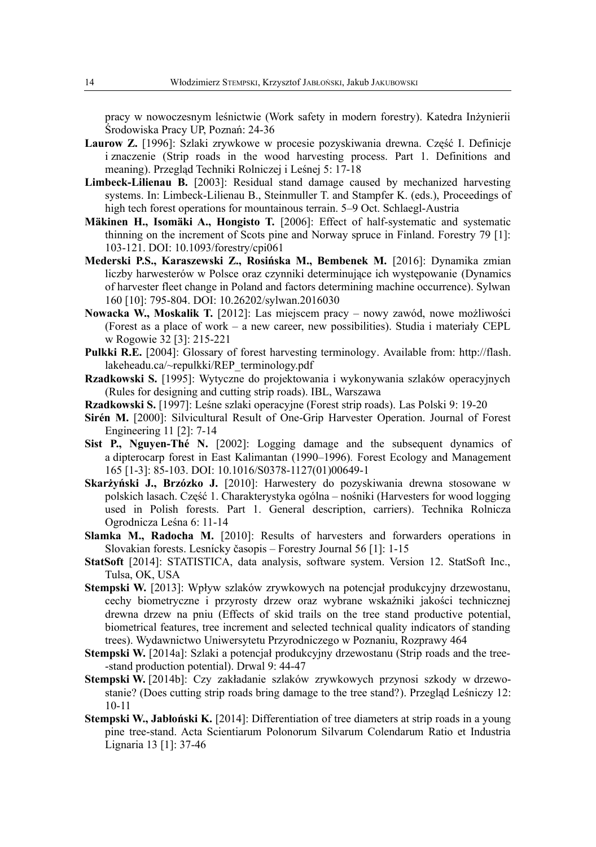pracy w nowoczesnym leśnictwie (Work safety in modern forestry). Katedra Inżynierii Środowiska Pracy UP, Poznań: 24-36

- **Laurow Z.** [1996]: Szlaki zrywkowe w procesie pozyskiwania drewna. Część I. Definicje i znaczenie (Strip roads in the wood harvesting process. Part 1. Definitions and meaning). Przegląd Techniki Rolniczej i Leśnej 5: 17-18
- **Limbeck-Lilienau B.** [2003]: Residual stand damage caused by mechanized harvesting systems. In: Limbeck-Lilienau B., Steinmuller T. and Stampfer K. (eds.), Proceedings of high tech forest operations for mountainous terrain. 5–9 Oct. Schlaegl-Austria
- **Mäkinen H., Isomäki A., Hongisto T.** [2006]: Effect of half-systematic and systematic thinning on the increment of Scots pine and Norway spruce in Finland. Forestry 79 [1]: 103-121. DOI: 10.1093/forestry/cpi061
- **Mederski P.S., Karaszewski Z., Rosińska M., Bembenek M.** [2016]: Dynamika zmian liczby harwesterów w Polsce oraz czynniki determinujące ich występowanie (Dynamics of harvester fleet change in Poland and factors determining machine occurrence). Sylwan 160 [10]: 795-804. DOI: 10.26202/sylwan.2016030
- **Nowacka W., Moskalik T.** [2012]: Las miejscem pracy nowy zawód, nowe możliwości (Forest as a place of work – a new career, new possibilities). Studia i materiały CEPL w Rogowie 32 [3]: 215-221
- **Pulkki R.E.** [2004]: Glossary of forest harvesting terminology. Available from: http://flash. lakeheadu.ca/~repulkki/REP\_terminology.pdf
- **Rzadkowski S.** [1995]: Wytyczne do projektowania i wykonywania szlaków operacyjnych (Rules for designing and cutting strip roads). IBL, Warszawa
- **Rzadkowski S.** [1997]: Leśne szlaki operacyjne (Forest strip roads). Las Polski 9: 19-20
- **Sirén M.** [2000]: Silvicultural Result of One-Grip Harvester Operation. Journal of Forest Engineering 11 [2]: 7-14
- **Sist P., Nguyen-Thé N.** [2002]: Logging damage and the subsequent dynamics of a dipterocarp forest in East Kalimantan (1990–1996)*.* Forest Ecology and Management 165 [1-3]: 85-103. DOI: 10.1016/S0378-1127(01)00649-1
- **Skarżyński J., Brzózko J.** [2010]: Harwestery do pozyskiwania drewna stosowane w polskich lasach. Część 1. Charakterystyka ogólna – nośniki (Harvesters for wood logging used in Polish forests. Part 1. General description, carriers). Technika Rolnicza Ogrodnicza Leśna 6: 11-14
- **Slamka M., Radocha M.** [2010]: Results of harvesters and forwarders operations in Slovakian forests. Lesnícky časopis – Forestry Journal 56 [1]: 1-15
- **StatSoft** [2014]: STATISTICA, data analysis, software system. Version 12. StatSoft Inc., Tulsa, OK, USA
- **Stempski W.** [2013]: Wpływ szlaków zrywkowych na potencjał produkcyjny drzewostanu, cechy biometryczne i przyrosty drzew oraz wybrane wskaźniki jakości technicznej drewna drzew na pniu (Effects of skid trails on the tree stand productive potential, biometrical features, tree increment and selected technical quality indicators of standing trees). Wydawnictwo Uniwersytetu Przyrodniczego w Poznaniu, Rozprawy 464
- **Stempski W.** [2014a]: Szlaki a potencjał produkcyjny drzewostanu (Strip roads and the tree--stand production potential). Drwal 9: 44-47
- **Stempski W.** [2014b]: Czy zakładanie szlaków zrywkowych przynosi szkody w drzewostanie? (Does cutting strip roads bring damage to the tree stand?). Przegląd Leśniczy 12: 10-11
- **Stempski W., Jabłoński K.** [2014]: Differentiation of tree diameters at strip roads in a young pine tree-stand. Acta Scientiarum Polonorum Silvarum Colendarum Ratio et Industria Lignaria 13 [1]: 37-46